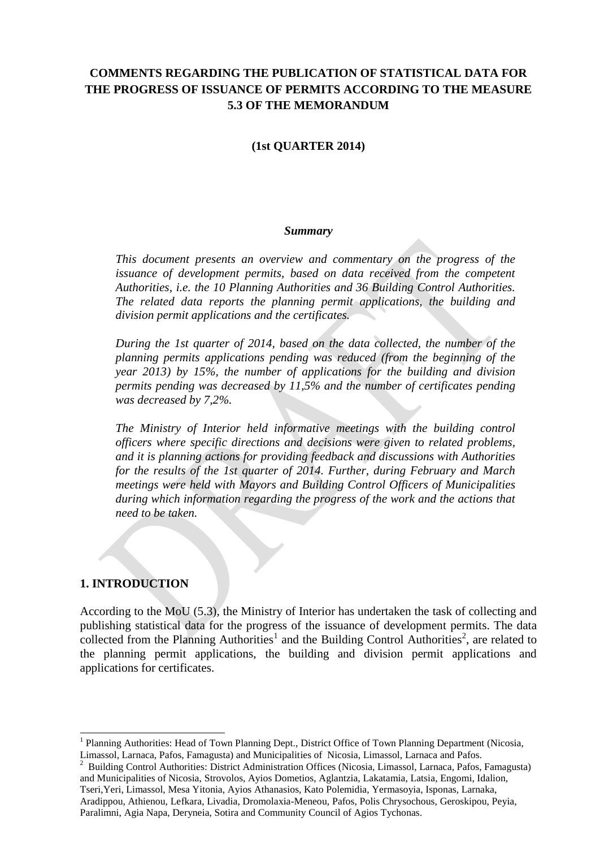# **COMMENTS REGARDING THE PUBLICATION OF STATISTICAL DATA FOR THE PROGRESS OF ISSUANCE OF PERMITS ACCORDING TO THE MEASURE 5.3 OF THE MEMORANDUM**

#### **(1st QUARTER 2014)**

#### *Summary*

*This document presents an overview and commentary on the progress of the issuance of development permits, based on data received from the competent Authorities, i.e. the 10 Planning Authorities and 36 Building Control Authorities. The related data reports the planning permit applications, the building and division permit applications and the certificates.* 

*During the 1st quarter of 2014, based on the data collected, the number of the planning permits applications pending was reduced (from the beginning of the year 2013) by 15%, the number of applications for the building and division permits pending was decreased by 11,5% and the number of certificates pending was decreased by 7,2%.*

*The Ministry of Interior held informative meetings with the building control officers where specific directions and decisions were given to related problems, and it is planning actions for providing feedback and discussions with Authorities for the results of the 1st quarter of 2014. Further, during February and March meetings were held with Mayors and Building Control Officers of Municipalities during which information regarding the progress of the work and the actions that need to be taken.*

#### **1. INTRODUCTION**

l

According to the MoU (5.3), the Ministry of Interior has undertaken the task of collecting and publishing statistical data for the progress of the issuance of development permits. The data collected from the Planning Authorities<sup>1</sup> and the Building Control Authorities<sup>2</sup>, are related to the planning permit applications, the building and division permit applications and applications for certificates.

<sup>&</sup>lt;sup>1</sup> Planning Authorities: Head of Town Planning Dept., District Office of Town Planning Department (Nicosia, Limassol, Larnaca, Pafos, Famagusta) and Municipalities of Nicosia, Limassol, Larnaca and Pafos.

<sup>2</sup> Building Control Authorities: District Administration Offices (Nicosia, Limassol, Larnaca, Pafos, Famagusta) and Municipalities of Nicosia, Strovolos, Ayios Dometios, Aglantzia, Lakatamia, Latsia, Engomi, Idalion, Tseri,Yeri, Limassol, Mesa Yitonia, Ayios Athanasios, Kato Polemidia, Yermasoyia, Isponas, Larnaka, Aradippou, Athienou, Lefkara, Livadia, Dromolaxia-Meneou, Pafos, Polis Chrysochous, Geroskipou, Peyia, Paralimni, Agia Napa, Deryneia, Sotira and Community Council of Agios Tychonas.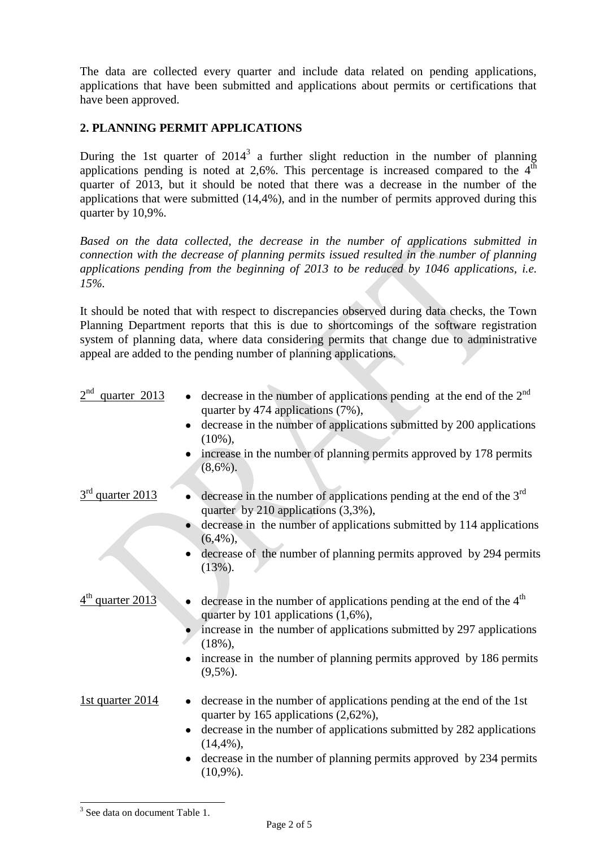The data are collected every quarter and include data related on pending applications, applications that have been submitted and applications about permits or certifications that have been approved.

# **2. PLANNING PERMIT APPLICATIONS**

During the 1st quarter of  $2014<sup>3</sup>$  a further slight reduction in the number of planning applications pending is noted at 2,6%. This percentage is increased compared to the  $4^{\overline{th}}$ quarter of 2013, but it should be noted that there was a decrease in the number of the applications that were submitted (14,4%), and in the number of permits approved during this quarter by 10,9%.

*Based on the data collected, the decrease in the number of applications submitted in connection with the decrease of planning permits issued resulted in the number of planning applications pending from the beginning of 2013 to be reduced by 1046 applications, i.e. 15%.*

It should be noted that with respect to discrepancies observed during data checks, the Town Planning Department reports that this is due to shortcomings of the software registration system of planning data, where data considering permits that change due to administrative appeal are added to the pending number of planning applications.

| 2 <sup>nd</sup><br>quarter 2013 | decrease in the number of applications pending at the end of the $2nd$<br>quarter by 474 applications (7%),<br>decrease in the number of applications submitted by 200 applications<br>$\bullet$<br>$(10\%)$ ,<br>increase in the number of planning permits approved by 178 permits<br>$(8,6\%)$ .    |
|---------------------------------|--------------------------------------------------------------------------------------------------------------------------------------------------------------------------------------------------------------------------------------------------------------------------------------------------------|
| quarter 2013                    | decrease in the number of applications pending at the end of the $3rd$<br>quarter by 210 applications (3,3%),<br>decrease in the number of applications submitted by 114 applications<br>$(6,4\%)$ ,<br>decrease of the number of planning permits approved by 294 permits<br>$(13\%)$ .               |
| $4th$ quarter 2013              | decrease in the number of applications pending at the end of the 4 <sup>th</sup><br>quarter by 101 applications $(1,6\%)$ ,<br>increase in the number of applications submitted by 297 applications<br>$(18\%)$ ,<br>increase in the number of planning permits approved by 186 permits<br>$(9,5\%)$ . |
| 1st quarter 2014                | decrease in the number of applications pending at the end of the 1st<br>quarter by 165 applications (2,62%),<br>decrease in the number of applications submitted by 282 applications<br>٠<br>$(14,4\%)$ ,<br>decrease in the number of planning permits approved by 234 permits<br>$(10,9\%)$ .        |

l <sup>3</sup> See data on document Table 1.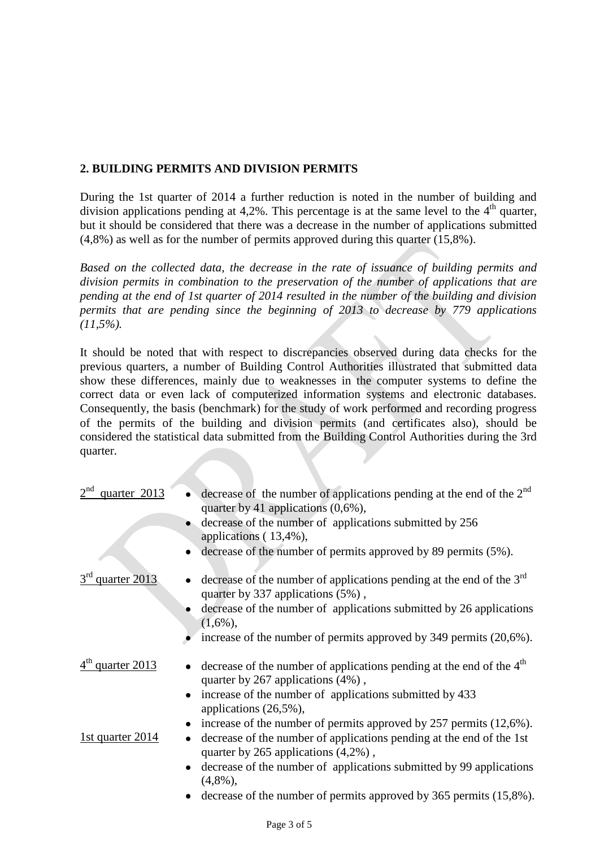# **2. BUILDING PERMITS AND DIVISION PERMITS**

During the 1st quarter of 2014 a further reduction is noted in the number of building and division applications pending at 4,2%. This percentage is at the same level to the  $4<sup>th</sup>$  quarter, but it should be considered that there was a decrease in the number of applications submitted (4,8%) as well as for the number of permits approved during this quarter (15,8%).

*Based on the collected data, the decrease in the rate of issuance of building permits and division permits in combination to the preservation of the number of applications that are pending at the end of 1st quarter of 2014 resulted in the number of the building and division permits that are pending since the beginning of 2013 to decrease by 779 applications (11,5%).*

It should be noted that with respect to discrepancies observed during data checks for the previous quarters, a number of Building Control Authorities illustrated that submitted data show these differences, mainly due to weaknesses in the computer systems to define the correct data or even lack of computerized information systems and electronic databases. Consequently, the basis (benchmark) for the study of work performed and recording progress of the permits of the building and division permits (and certificates also), should be considered the statistical data submitted from the Building Control Authorities during the 3rd quarter.

| $2^{nd}$<br>quarter 2013     | decrease of the number of applications pending at the end of the $2nd$<br>quarter by 41 applications $(0.6\%)$ ,      |
|------------------------------|-----------------------------------------------------------------------------------------------------------------------|
|                              | decrease of the number of applications submitted by 256<br>applications (13,4%),                                      |
|                              | decrease of the number of permits approved by 89 permits (5%).                                                        |
| 3rd quarter 2013             | decrease of the number of applications pending at the end of the $3rd$<br>quarter by 337 applications (5%),           |
|                              | decrease of the number of applications submitted by 26 applications<br>$(1,6\%)$ ,                                    |
|                              | increase of the number of permits approved by $349$ permits $(20,6\%)$ .                                              |
| 4 <sup>th</sup> quarter 2013 | decrease of the number of applications pending at the end of the 4 <sup>th</sup><br>quarter by 267 applications (4%), |
|                              | increase of the number of applications submitted by 433<br>applications $(26,5\%)$ ,                                  |
|                              | increase of the number of permits approved by $257$ permits $(12,6\%)$ .                                              |
| <u>1st quarter 2014</u>      | decrease of the number of applications pending at the end of the 1st<br>quarter by $265$ applications $(4,2\%)$ ,     |
|                              | decrease of the number of applications submitted by 99 applications<br>$\bullet$<br>$(4,8\%)$ ,                       |

decrease of the number of permits approved by 365 permits (15,8%).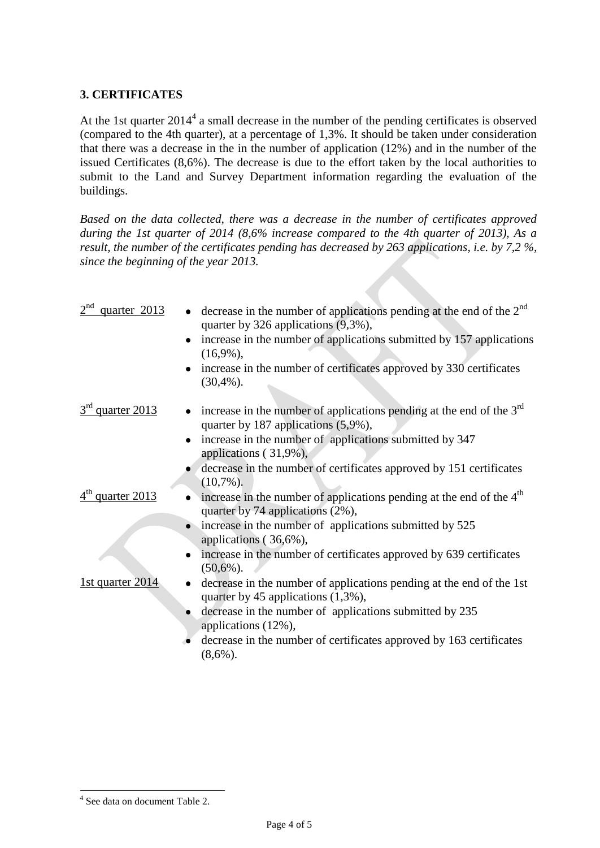# **3. CERTIFICATES**

At the 1st quarter 2014<sup>4</sup> a small decrease in the number of the pending certificates is observed (compared to the 4th quarter), at a percentage of 1,3%. It should be taken under consideration that there was a decrease in the in the number of application (12%) and in the number of the issued Certificates (8,6%). The decrease is due to the effort taken by the local authorities to submit to the Land and Survey Department information regarding the evaluation of the buildings.

*Based on the data collected, there was a decrease in the number of certificates approved during the 1st quarter of 2014 (8,6% increase compared to the 4th quarter of 2013), As a result, the number of the certificates pending has decreased by 263 applications, i.e. by 7,2 %, since the beginning of the year 2013.*

| 2 <sup>nd</sup><br>quarter 2013 | decrease in the number of applications pending at the end of the $2nd$<br>quarter by 326 applications $(9,3\%)$ ,    |
|---------------------------------|----------------------------------------------------------------------------------------------------------------------|
|                                 | increase in the number of applications submitted by 157 applications<br>$(16,9\%)$ ,                                 |
|                                 | increase in the number of certificates approved by 330 certificates<br>$(30,4\%)$ .                                  |
| 3 <sup>rd</sup> quarter 2013    | increase in the number of applications pending at the end of the $3rd$<br>quarter by 187 applications (5,9%),        |
|                                 | increase in the number of applications submitted by 347<br>applications (31,9%),                                     |
|                                 | decrease in the number of certificates approved by 151 certificates<br>$(10,7\%)$ .                                  |
| quarter 2013                    | increase in the number of applications pending at the end of the 4 <sup>th</sup><br>quarter by 74 applications (2%), |
|                                 | increase in the number of applications submitted by 525<br>applications (36,6%),                                     |
|                                 | increase in the number of certificates approved by 639 certificates<br>$(50,6\%)$ .                                  |
| 1st quarter $2014$              | decrease in the number of applications pending at the end of the 1st<br>quarter by 45 applications $(1,3\%)$ ,       |
|                                 | decrease in the number of applications submitted by 235<br>applications (12%),                                       |
|                                 | decrease in the number of certificates approved by 163 certificates<br>$(8,6\%)$ .                                   |

l

<sup>4</sup> See data on document Table 2.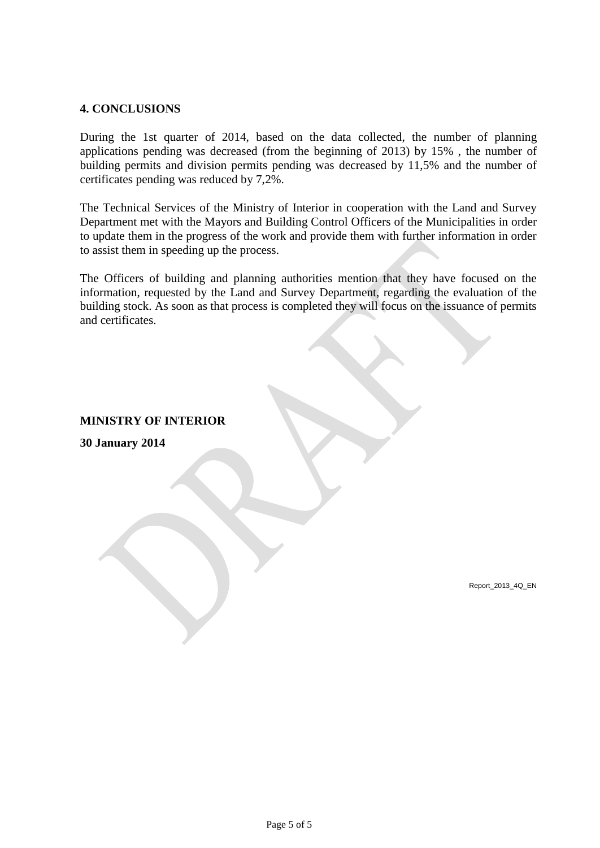## **4. CONCLUSIONS**

During the 1st quarter of 2014, based on the data collected, the number of planning applications pending was decreased (from the beginning of 2013) by 15% , the number of building permits and division permits pending was decreased by 11,5% and the number of certificates pending was reduced by 7,2%.

The Technical Services of the Ministry of Interior in cooperation with the Land and Survey Department met with the Mayors and Building Control Officers of the Municipalities in order to update them in the progress of the work and provide them with further information in order to assist them in speeding up the process.

The Officers of building and planning authorities mention that they have focused on the information, requested by the Land and Survey Department, regarding the evaluation of the building stock. As soon as that process is completed they will focus on the issuance of permits and certificates.

# **MINISTRY OF INTERIOR**

**30 January 2014**

Report\_2013\_4Q\_EN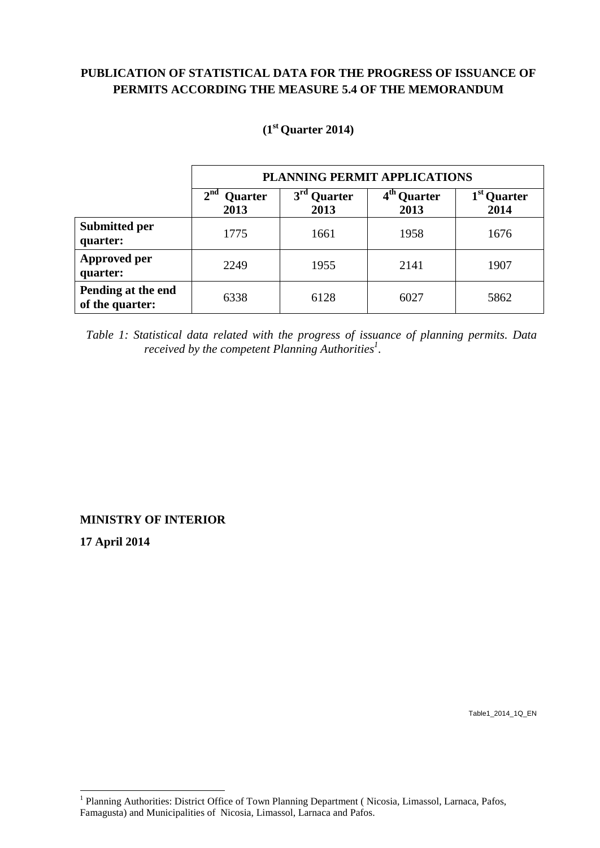# **PUBLICATION OF STATISTICAL DATA FOR THE PROGRESS OF ISSUANCE OF PERMITS ACCORDING THE MEASURE 5.4 OF THE MEMORANDUM**

|                                       | PLANNING PERMIT APPLICATIONS       |                                    |                                 |                                 |  |  |  |
|---------------------------------------|------------------------------------|------------------------------------|---------------------------------|---------------------------------|--|--|--|
|                                       | 2 <sup>nd</sup><br>Quarter<br>2013 | 3 <sup>rd</sup><br>Quarter<br>2013 | 4 <sup>th</sup> Quarter<br>2013 | 1 <sup>st</sup> Quarter<br>2014 |  |  |  |
| <b>Submitted per</b><br>quarter:      | 1775                               | 1661                               | 1958                            | 1676                            |  |  |  |
| <b>Approved per</b><br>quarter:       | 2249                               | 1955                               | 2141                            | 1907                            |  |  |  |
| Pending at the end<br>of the quarter: | 6338                               | 6128                               | 6027                            | 5862                            |  |  |  |

## **(1 st Quarter 2014)**

 *Table 1: Statistical data related with the progress of issuance of planning permits. Data received by the competent Planning Authorities<sup>1</sup> .*

**MINISTRY OF INTERIOR**

**17 April 2014**

l

Table1\_2014\_1Q\_EN

<sup>&</sup>lt;sup>1</sup> Planning Authorities: District Office of Town Planning Department (Nicosia, Limassol, Larnaca, Pafos, Famagusta) and Municipalities of Nicosia, Limassol, Larnaca and Pafos.